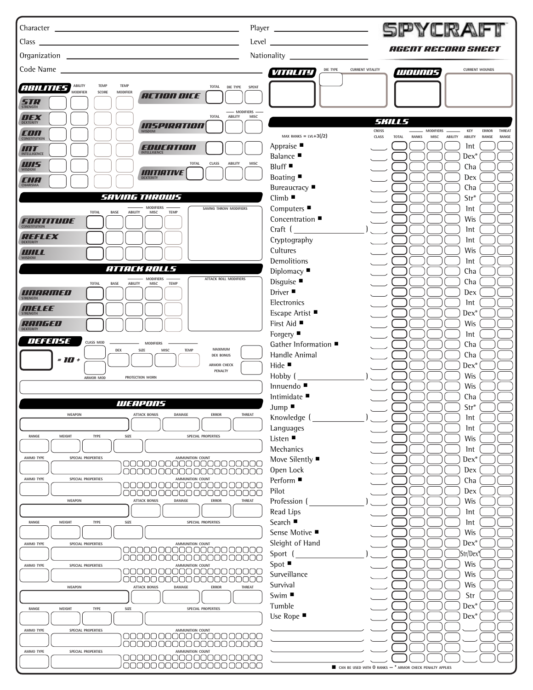| Character Lawrence and Character Character Character                                                                            | SPYCRA                                                                                                                      |        |
|---------------------------------------------------------------------------------------------------------------------------------|-----------------------------------------------------------------------------------------------------------------------------|--------|
| Class _<br>and the control of the control of the control of the control of the control of the control of the control of the     | Level<br><i>AGENT RECORD SHEET</i>                                                                                          |        |
|                                                                                                                                 |                                                                                                                             |        |
|                                                                                                                                 | <b>CURRENT VITALITY</b><br>DIE TYPE<br><b>CURRENT WOUNDS</b><br><b>VITALITY</b><br>1110111115                               |        |
| <b>TEMP</b><br>ABILITY<br><b>TEMP</b><br><b>ABILITIES</b><br>TOTAL<br>DIE TYPE<br><b>SPENT</b><br>MODIFIER<br>SCORE<br>MODIFIER |                                                                                                                             |        |
| <i><b>ACTION DICE</b></i><br><b>STRENGTH</b>                                                                                    |                                                                                                                             |        |
| - MODIFIERS<br><b>TOTAL</b><br>ABILITY<br>MISC<br><b>DEXTERITY</b>                                                              |                                                                                                                             |        |
| INSPIRATION                                                                                                                     | <i>SKILLS</i><br><b>CROSS</b><br>MODIFIERS<br>KEY<br><b>ERROR</b>                                                           | THREAT |
| <b>CONSTITUTION</b>                                                                                                             | MAX RANKS = LVL+3 $($ /2)<br>CLASS<br>ABILITY ABILITY<br><b>TOTAL</b><br><b>RANKS</b><br>MISC<br>RANGE<br>Appraise ■<br>Int | RANGE  |
| ENIE:HULL<br>INTELLIGENCE<br><b>INTELLIGENCE</b>                                                                                | <b>Balance</b> ■<br>$Dex^*$                                                                                                 |        |
| <b>TOTAL</b><br>CLASS<br>MISC<br>ABILITY<br><b>MISDOM</b><br><b>INITIATIVE</b>                                                  | Bluff<br>Cha                                                                                                                |        |
| CHA                                                                                                                             | Boating<br>Dex<br>Bureaucracy ■<br>Cha                                                                                      |        |
| <i>SAVING THROWS</i>                                                                                                            | $Climb$ $\blacksquare$<br>Str*                                                                                              |        |
| <b>MODIFIERS</b><br>SAVING THROW MODIFIERS<br><b>TOTAL</b><br><b>BASE</b><br>ABILITY<br>MISC<br>TEMP                            | Computers $\blacksquare$<br>lnt                                                                                             |        |
| FORTITUDE<br><b>CONSTITUTION</b>                                                                                                | Concentration ■<br><b>Wis</b>                                                                                               |        |
| <b>REFLEX</b>                                                                                                                   | Craft (<br>lnt<br>Cryptography<br>lnt                                                                                       |        |
| <b>DEXTERITY</b><br>WILL                                                                                                        | Cultures<br><b>Wis</b>                                                                                                      |        |
| <b>WISDOM</b><br>ATTACK ROLLS                                                                                                   | Demolitions<br>lnt                                                                                                          |        |
| <b>MODIFIERS</b><br><b>ATTACK ROLL MODIFIERS</b>                                                                                | Diplomacy<br>Cha<br>Disguise<br>Cha                                                                                         |        |
| <b>TOTAL</b><br><b>BASE</b><br>MISC<br><b>TEMP</b><br>ABILITY<br>UNHRINED                                                       | Driver ■<br>Dex                                                                                                             |        |
| <b>STRENGTH</b><br>WELEE                                                                                                        | Electronics<br>lnt                                                                                                          |        |
| <b>STRENGTH</b>                                                                                                                 | Escape Artist ■<br>$Dex^*$                                                                                                  |        |
| RHIIFED<br><b>DEXTERITY</b>                                                                                                     | First Aid ■<br>Wis<br>Forgery $\blacksquare$<br>lnt                                                                         |        |
| <b>DEFENSE</b><br><b>CLASS MOD</b><br><b>MODIFIERS</b><br>MAXIMUM<br><b>TEMP</b>                                                | Gather Information ■<br>Cha                                                                                                 |        |
| SIZE<br>MISC<br>DEX<br><b>DEX BONUS</b><br>$=10+$                                                                               | Handle Animal<br>Cha                                                                                                        |        |
| ARMOR CHECK<br>PENALTY                                                                                                          | Hide $\blacksquare$<br>$Dex^*$<br>Hobby (<br>Wis                                                                            |        |
| ARMOR MOD<br>PROTECTION WORN                                                                                                    | Innuendo ■<br><b>Wis</b>                                                                                                    |        |
| WENPONS                                                                                                                         | Intimidate ■<br>Cha                                                                                                         |        |
| <b>WEAPON</b><br><b>ATTACK BONUS</b><br>DAMAGE<br><b>ERROR</b><br>THREAT                                                        | $Str*$<br>Jump                                                                                                              |        |
|                                                                                                                                 | Knowledge (<br>Int<br>Languages<br>lnt                                                                                      |        |
| RANGE<br>WEIGHT<br><b>TYPE</b><br>SIZE<br>SPECIAL PROPERTIES                                                                    | Listen ■<br>Wis                                                                                                             |        |
| SPECIAL PROPERTIES<br>AMMO TYPE<br>AMMUNITION COUNT                                                                             | Mechanics<br>Int                                                                                                            |        |
| JO 0000000000<br>nnnnnnnnnnnnn<br>CIA DI T                                                                                      | Move Silently ■<br>$Dex^*$<br>Open Lock<br>Dex                                                                              |        |
| AMMUNITION COUNT<br>AMMO TYPE<br>SPECIAL PROPERTIES                                                                             | Perform ■<br>Cha                                                                                                            |        |
| 00000000000000000000<br>00000000000000000000                                                                                    | Pilot<br>Dex                                                                                                                |        |
| <b>ATTACK BONUS</b><br>DAMAGE<br><b>ERROR</b><br>THREAT<br><b>WEAPON</b>                                                        | Profession<br><b>Wis</b><br>Read Lips<br>Int                                                                                |        |
| RANGE<br>WEIGHT<br><b>TYPE</b><br>SIZE<br>SPECIAL PROPERTIES                                                                    | Search ■<br>Int                                                                                                             |        |
|                                                                                                                                 | Sense Motive ■<br>Wis                                                                                                       |        |
| AMMUNITION COUNT<br>AMMO TYPE<br>SPECIAL PROPERTIES<br>DOOOO OC<br>JOO 00000000                                                 | Sleight of Hand<br>$Dex^*$                                                                                                  |        |
| 00000000000000000000<br>AMMUNITION COUNT<br>AMMO TYPE<br>SPECIAL PROPERTIES                                                     | Sport (<br>)Str/Dex<br>$Spot \blacksquare$<br>Wis                                                                           |        |
| 00000000000000000000<br>700000<br>70000C<br>JUON                                                                                | Surveillance<br>Wis                                                                                                         |        |
| <b>WEAPON</b><br><b>ATTACK BONUS</b><br>DAMAGE<br><b>ERROR</b><br>THREAT                                                        | Survival<br>Wis                                                                                                             |        |
|                                                                                                                                 | Swim ■<br>Str<br>Tumble<br>$Dex^*$                                                                                          |        |
| RANGE<br>WEIGHT<br><b>TYPE</b><br>SIZE<br>SPECIAL PROPERTIES                                                                    | Use Rope ■<br>$Dex^*$                                                                                                       |        |
| AMMO TYPE<br>SPECIAL PROPERTIES<br>AMMUNITION COUNT                                                                             |                                                                                                                             |        |
| DO 00000 00000C<br>CO 0000                                                                                                      |                                                                                                                             |        |
| AMMUNITION COUNT<br>AMMO TYPE<br>SPECIAL PROPERTIES<br>00000000000000000000                                                     |                                                                                                                             |        |
| 00000000000000000000                                                                                                            | CAN BE USED WITH 0 RANKS - * ARMOR CHECK PENALTY APPLIES                                                                    |        |